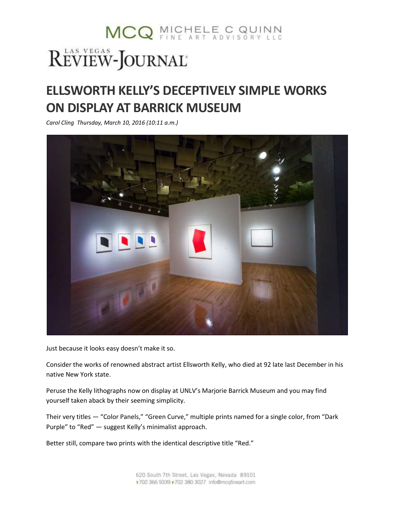## MCQ MICHELE C QUINN REVIEW-JOURNAL®

## **ELLSWORTH KELLY'S DECEPTIVELY SIMPLE WORKS ON DISPLAY AT BARRICK MUSEUM**

*Carol Cling Thursday, March 10, 2016 (10:11 a.m.)*



Just because it looks easy doesn't make it so.

Consider the works of renowned abstract artist Ellsworth Kelly, who died at 92 late last December in his native New York state.

Peruse the Kelly lithographs now on display at UNLV's Marjorie Barrick Museum and you may find yourself taken aback by their seeming simplicity.

Their very titles — "Color Panels," "Green Curve," multiple prints named for a single color, from "Dark Purple" to "Red" — suggest Kelly's minimalist approach.

Better still, compare two prints with the identical descriptive title "Red."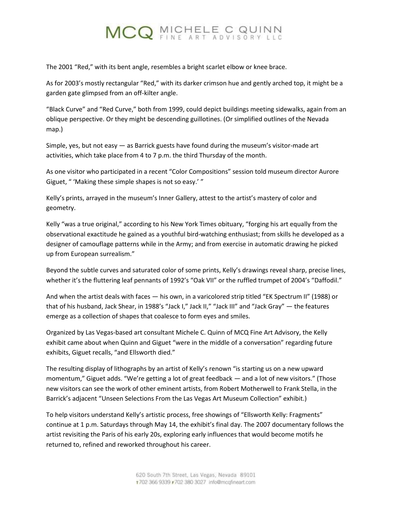## MCQ MICHELE C QUINN

The 2001 "Red," with its bent angle, resembles a bright scarlet elbow or knee brace.

As for 2003's mostly rectangular "Red," with its darker crimson hue and gently arched top, it might be a garden gate glimpsed from an off-kilter angle.

"Black Curve" and "Red Curve," both from 1999, could depict buildings meeting sidewalks, again from an oblique perspective. Or they might be descending guillotines. (Or simplified outlines of the Nevada map.)

Simple, yes, but not easy  $-$  as Barrick guests have found during the museum's visitor-made art activities, which take place from 4 to 7 p.m. the third Thursday of the month.

As one visitor who participated in a recent "Color Compositions" session told museum director Aurore Giguet, " 'Making these simple shapes is not so easy.' "

Kelly's prints, arrayed in the museum's Inner Gallery, attest to the artist's mastery of color and geometry.

Kelly "was a true original," according to his New York Times obituary, "forging his art equally from the observational exactitude he gained as a youthful bird-watching enthusiast; from skills he developed as a designer of camouflage patterns while in the Army; and from exercise in automatic drawing he picked up from European surrealism."

Beyond the subtle curves and saturated color of some prints, Kelly's drawings reveal sharp, precise lines, whether it's the fluttering leaf pennants of 1992's "Oak VII" or the ruffled trumpet of 2004's "Daffodil."

And when the artist deals with faces — his own, in a varicolored strip titled "EK Spectrum II" (1988) or that of his husband, Jack Shear, in 1988's "Jack I," Jack II," "Jack III" and "Jack Gray" — the features emerge as a collection of shapes that coalesce to form eyes and smiles.

Organized by Las Vegas-based art consultant Michele C. Quinn of MCQ Fine Art Advisory, the Kelly exhibit came about when Quinn and Giguet "were in the middle of a conversation" regarding future exhibits, Giguet recalls, "and Ellsworth died."

The resulting display of lithographs by an artist of Kelly's renown "is starting us on a new upward momentum," Giguet adds. "We're getting a lot of great feedback — and a lot of new visitors." (Those new visitors can see the work of other eminent artists, from Robert Motherwell to Frank Stella, in the Barrick's adjacent "Unseen Selections From the Las Vegas Art Museum Collection" exhibit.)

To help visitors understand Kelly's artistic process, free showings of "Ellsworth Kelly: Fragments" continue at 1 p.m. Saturdays through May 14, the exhibit's final day. The 2007 documentary follows the artist revisiting the Paris of his early 20s, exploring early influences that would become motifs he returned to, refined and reworked throughout his career.